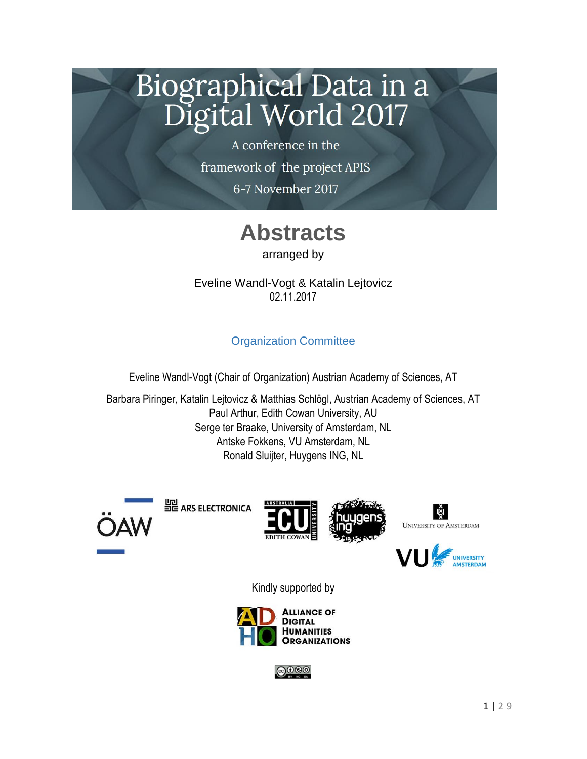# Biographical Data in a Digital World 2017

A conference in the framework of the project APIS 6-7 November 2017

## **Abstracts**

arranged by

Eveline Wandl-Vogt & Katalin Lejtovicz 02.11.2017

### Organization Committee

Eveline Wandl-Vogt (Chair of Organization) Austrian Academy of Sciences, AT

Barbara Piringer, Katalin Lejtovicz & Matthias Schlögl, Austrian Academy of Sciences, AT Paul Arthur, Edith Cowan University, AU Serge ter Braake, University of Amsterdam, NL Antske Fokkens, VU Amsterdam, NL Ronald Sluijter, Huygens ING, NL



일 ARS ELECTRONICA









Kindly supported by



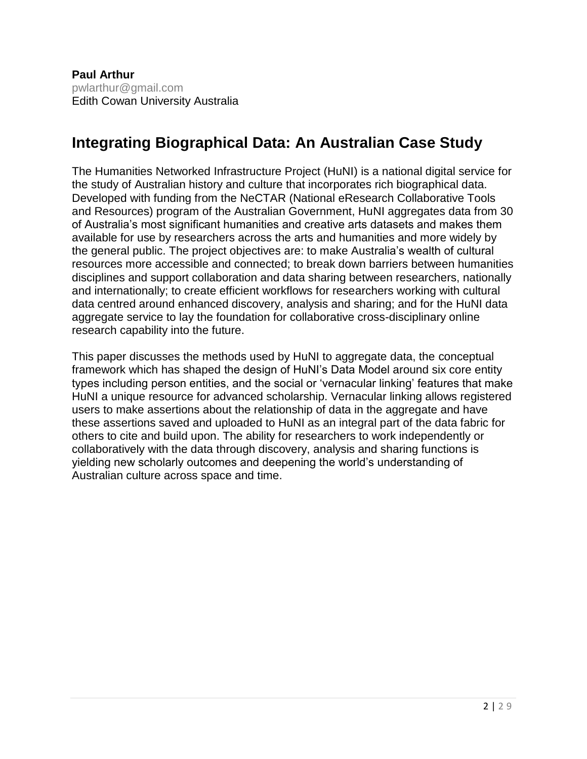### **Integrating Biographical Data: An Australian Case Study**

The Humanities Networked Infrastructure Project (HuNI) is a national digital service for the study of Australian history and culture that incorporates rich biographical data. Developed with funding from the NeCTAR (National eResearch Collaborative Tools and Resources) program of the Australian Government, HuNI aggregates data from 30 of Australia's most significant humanities and creative arts datasets and makes them available for use by researchers across the arts and humanities and more widely by the general public. The project objectives are: to make Australia's wealth of cultural resources more accessible and connected; to break down barriers between humanities disciplines and support collaboration and data sharing between researchers, nationally and internationally; to create efficient workflows for researchers working with cultural data centred around enhanced discovery, analysis and sharing; and for the HuNI data aggregate service to lay the foundation for collaborative cross-disciplinary online research capability into the future.

This paper discusses the methods used by HuNI to aggregate data, the conceptual framework which has shaped the design of HuNI's Data Model around six core entity types including person entities, and the social or 'vernacular linking' features that make HuNI a unique resource for advanced scholarship. Vernacular linking allows registered users to make assertions about the relationship of data in the aggregate and have these assertions saved and uploaded to HuNI as an integral part of the data fabric for others to cite and build upon. The ability for researchers to work independently or collaboratively with the data through discovery, analysis and sharing functions is yielding new scholarly outcomes and deepening the world's understanding of Australian culture across space and time.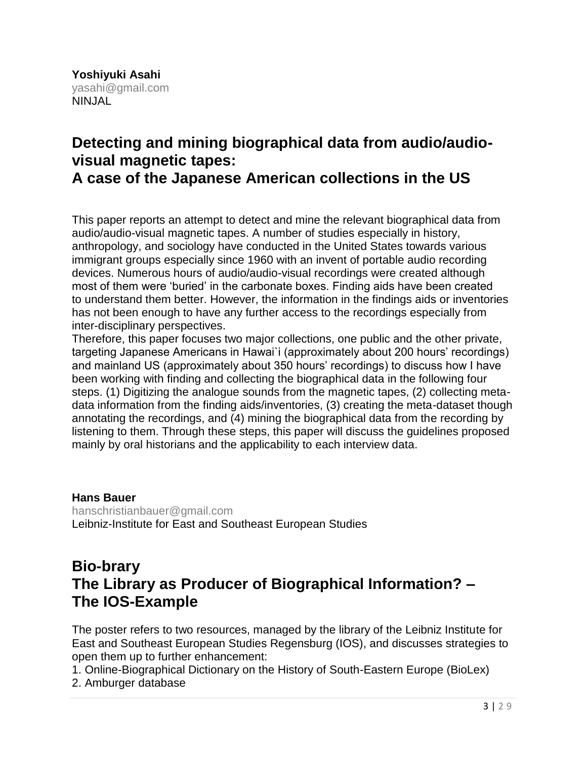### **Detecting and mining biographical data from audio/audiovisual magnetic tapes:**

**A case of the Japanese American collections in the US**

This paper reports an attempt to detect and mine the relevant biographical data from audio/audio-visual magnetic tapes. A number of studies especially in history, anthropology, and sociology have conducted in the United States towards various immigrant groups especially since 1960 with an invent of portable audio recording devices. Numerous hours of audio/audio-visual recordings were created although most of them were 'buried' in the carbonate boxes. Finding aids have been created to understand them better. However, the information in the findings aids or inventories has not been enough to have any further access to the recordings especially from inter-disciplinary perspectives.

Therefore, this paper focuses two major collections, one public and the other private, targeting Japanese Americans in Hawai`i (approximately about 200 hours' recordings) and mainland US (approximately about 350 hours' recordings) to discuss how I have been working with finding and collecting the biographical data in the following four steps. (1) Digitizing the analogue sounds from the magnetic tapes, (2) collecting metadata information from the finding aids/inventories, (3) creating the meta-dataset though annotating the recordings, and (4) mining the biographical data from the recording by listening to them. Through these steps, this paper will discuss the guidelines proposed mainly by oral historians and the applicability to each interview data.

**Hans Bauer** [hanschristianbauer@gmail.com](mailto:hanschristianbauer@gmail.com) Leibniz-Institute for East and Southeast European Studies

### **Bio-brary The Library as Producer of Biographical Information? – The IOS-Example**

The poster refers to two resources, managed by the library of the Leibniz Institute for East and Southeast European Studies Regensburg (IOS), and discusses strategies to open them up to further enhancement:

1. Online-Biographical Dictionary on the History of South-Eastern Europe (BioLex)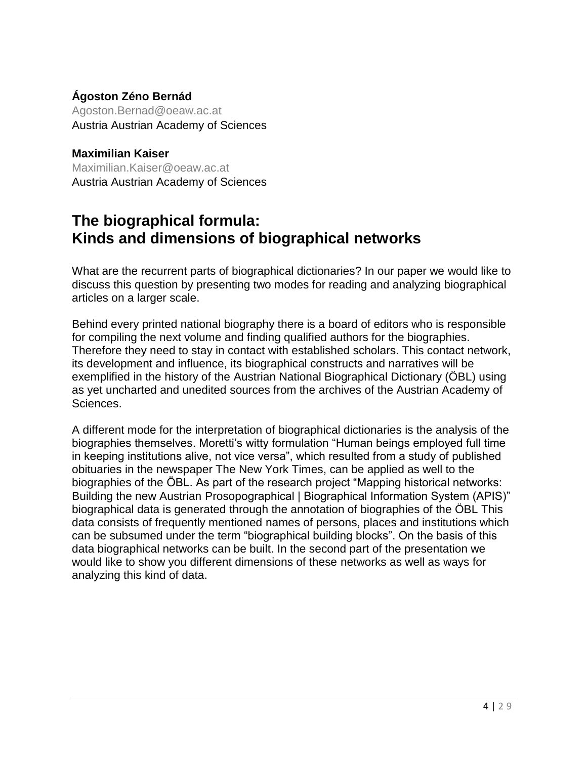#### **Ágoston Zéno Bernád**

Agoston.Bernad@oeaw.ac.at Austria Austrian Academy of Sciences

#### **Maximilian Kaiser**

Maximilian.Kaiser@oeaw.ac.at Austria Austrian Academy of Sciences

### **The biographical formula: Kinds and dimensions of biographical networks**

What are the recurrent parts of biographical dictionaries? In our paper we would like to discuss this question by presenting two modes for reading and analyzing biographical articles on a larger scale.

Behind every printed national biography there is a board of editors who is responsible for compiling the next volume and finding qualified authors for the biographies. Therefore they need to stay in contact with established scholars. This contact network, its development and influence, its biographical constructs and narratives will be exemplified in the history of the Austrian National Biographical Dictionary (ÖBL) using as yet uncharted and unedited sources from the archives of the Austrian Academy of Sciences.

A different mode for the interpretation of biographical dictionaries is the analysis of the biographies themselves. Moretti's witty formulation "Human beings employed full time in keeping institutions alive, not vice versa", which resulted from a study of published obituaries in the newspaper The New York Times, can be applied as well to the biographies of the ÖBL. As part of the research project "Mapping historical networks: Building the new Austrian Prosopographical | Biographical Information System (APIS)" biographical data is generated through the annotation of biographies of the ÖBL This data consists of frequently mentioned names of persons, places and institutions which can be subsumed under the term "biographical building blocks". On the basis of this data biographical networks can be built. In the second part of the presentation we would like to show you different dimensions of these networks as well as ways for analyzing this kind of data.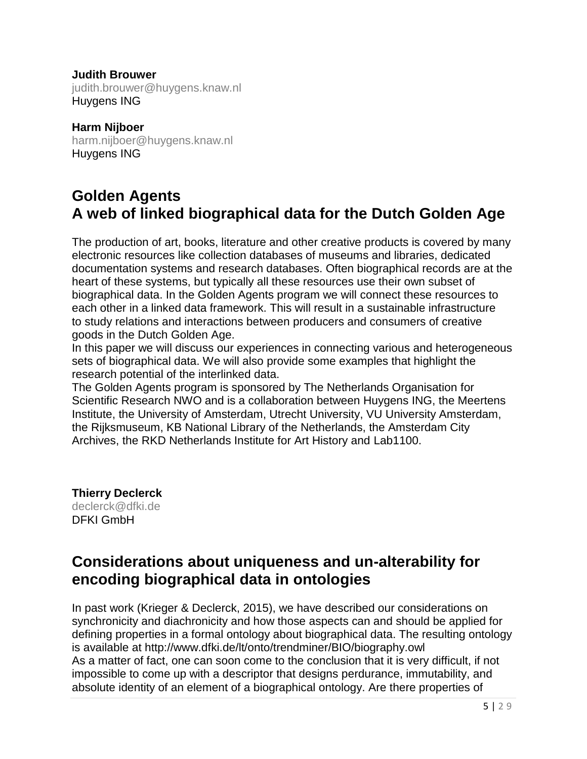#### **Judith Brouwer**

judith.brouwer@huygens.knaw.nl Huygens ING

**Harm Nijboer** harm.nijboer@huygens.knaw.nl Huygens ING

### **Golden Agents A web of linked biographical data for the Dutch Golden Age**

The production of art, books, literature and other creative products is covered by many electronic resources like collection databases of museums and libraries, dedicated documentation systems and research databases. Often biographical records are at the heart of these systems, but typically all these resources use their own subset of biographical data. In the Golden Agents program we will connect these resources to each other in a linked data framework. This will result in a sustainable infrastructure to study relations and interactions between producers and consumers of creative goods in the Dutch Golden Age.

In this paper we will discuss our experiences in connecting various and heterogeneous sets of biographical data. We will also provide some examples that highlight the research potential of the interlinked data.

The Golden Agents program is sponsored by The Netherlands Organisation for Scientific Research NWO and is a collaboration between Huygens ING, the Meertens Institute, the University of Amsterdam, Utrecht University, VU University Amsterdam, the Rijksmuseum, KB National Library of the Netherlands, the Amsterdam City Archives, the RKD Netherlands Institute for Art History and Lab1100.

**Thierry Declerck** [declerck@dfki.de](mailto:declerck@dfki.de) DFKI GmbH

### **Considerations about uniqueness and un-alterability for encoding biographical data in ontologies**

In past work (Krieger & Declerck, 2015), we have described our considerations on synchronicity and diachronicity and how those aspects can and should be applied for defining properties in a formal ontology about biographical data. The resulting ontology is available at http://www.dfki.de/lt/onto/trendminer/BIO/biography.owl As a matter of fact, one can soon come to the conclusion that it is very difficult, if not impossible to come up with a descriptor that designs perdurance, immutability, and absolute identity of an element of a biographical ontology. Are there properties of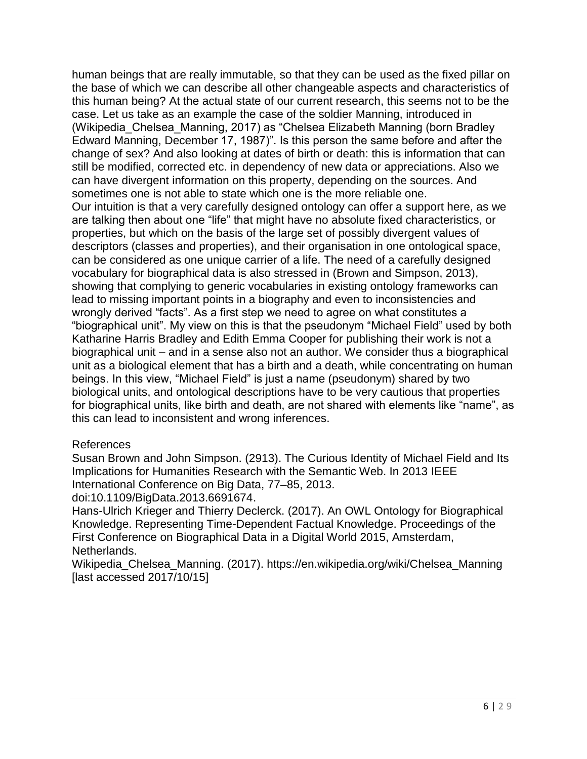human beings that are really immutable, so that they can be used as the fixed pillar on the base of which we can describe all other changeable aspects and characteristics of this human being? At the actual state of our current research, this seems not to be the case. Let us take as an example the case of the soldier Manning, introduced in (Wikipedia\_Chelsea\_Manning, 2017) as "Chelsea Elizabeth Manning (born Bradley Edward Manning, December 17, 1987)". Is this person the same before and after the change of sex? And also looking at dates of birth or death: this is information that can still be modified, corrected etc. in dependency of new data or appreciations. Also we can have divergent information on this property, depending on the sources. And sometimes one is not able to state which one is the more reliable one. Our intuition is that a very carefully designed ontology can offer a support here, as we are talking then about one "life" that might have no absolute fixed characteristics, or properties, but which on the basis of the large set of possibly divergent values of descriptors (classes and properties), and their organisation in one ontological space, can be considered as one unique carrier of a life. The need of a carefully designed vocabulary for biographical data is also stressed in (Brown and Simpson, 2013), showing that complying to generic vocabularies in existing ontology frameworks can lead to missing important points in a biography and even to inconsistencies and wrongly derived "facts". As a first step we need to agree on what constitutes a "biographical unit". My view on this is that the pseudonym "Michael Field" used by both Katharine Harris Bradley and Edith Emma Cooper for publishing their work is not a biographical unit – and in a sense also not an author. We consider thus a biographical unit as a biological element that has a birth and a death, while concentrating on human beings. In this view, "Michael Field" is just a name (pseudonym) shared by two biological units, and ontological descriptions have to be very cautious that properties for biographical units, like birth and death, are not shared with elements like "name", as this can lead to inconsistent and wrong inferences.

#### References

Susan Brown and John Simpson. (2913). The Curious Identity of Michael Field and Its Implications for Humanities Research with the Semantic Web. In 2013 IEEE International Conference on Big Data, 77–85, 2013.

doi:10.1109/BigData.2013.6691674.

Hans-Ulrich Krieger and Thierry Declerck. (2017). An OWL Ontology for Biographical Knowledge. Representing Time-Dependent Factual Knowledge. Proceedings of the First Conference on Biographical Data in a Digital World 2015, Amsterdam, Netherlands.

Wikipedia\_Chelsea\_Manning. (2017). https://en.wikipedia.org/wiki/Chelsea\_Manning [last accessed 2017/10/15]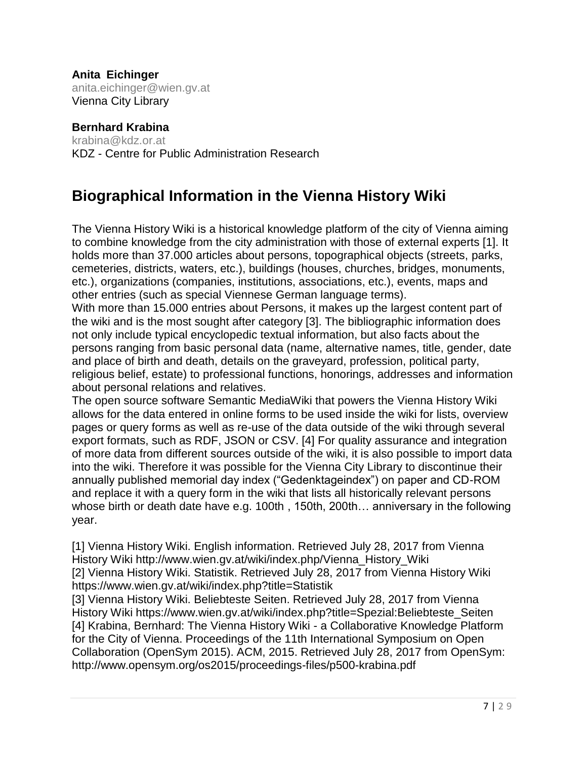**Anita Eichinger** [anita.eichinger@wien.gv.at](mailto:anita.eichinger@wien.gv.at) Vienna City Library

#### **Bernhard Krabina**

[krabina@kdz.or.at](mailto:krabina@kdz.or.at) KDZ - Centre for Public Administration Research

### **Biographical Information in the Vienna History Wiki**

The Vienna History Wiki is a historical knowledge platform of the city of Vienna aiming to combine knowledge from the city administration with those of external experts [1]. It holds more than 37.000 articles about persons, topographical objects (streets, parks, cemeteries, districts, waters, etc.), buildings (houses, churches, bridges, monuments, etc.), organizations (companies, institutions, associations, etc.), events, maps and other entries (such as special Viennese German language terms).

With more than 15.000 entries about Persons, it makes up the largest content part of the wiki and is the most sought after category [3]. The bibliographic information does not only include typical encyclopedic textual information, but also facts about the persons ranging from basic personal data (name, alternative names, title, gender, date and place of birth and death, details on the graveyard, profession, political party, religious belief, estate) to professional functions, honorings, addresses and information about personal relations and relatives.

The open source software Semantic MediaWiki that powers the Vienna History Wiki allows for the data entered in online forms to be used inside the wiki for lists, overview pages or query forms as well as re-use of the data outside of the wiki through several export formats, such as RDF, JSON or CSV. [4] For quality assurance and integration of more data from different sources outside of the wiki, it is also possible to import data into the wiki. Therefore it was possible for the Vienna City Library to discontinue their annually published memorial day index ("Gedenktageindex") on paper and CD-ROM and replace it with a query form in the wiki that lists all historically relevant persons whose birth or death date have e.g. 100th , 150th, 200th… anniversary in the following year.

[1] Vienna History Wiki. English information. Retrieved July 28, 2017 from Vienna History Wiki http://www.wien.gv.at/wiki/index.php/Vienna\_History\_Wiki [2] Vienna History Wiki. Statistik. Retrieved July 28, 2017 from Vienna History Wiki https://www.wien.gv.at/wiki/index.php?title=Statistik

[3] Vienna History Wiki. Beliebteste Seiten. Retrieved July 28, 2017 from Vienna History Wiki https://www.wien.gv.at/wiki/index.php?title=Spezial:Beliebteste\_Seiten [4] Krabina, Bernhard: The Vienna History Wiki - a Collaborative Knowledge Platform for the City of Vienna. Proceedings of the 11th International Symposium on Open Collaboration (OpenSym 2015). ACM, 2015. Retrieved July 28, 2017 from OpenSym: http://www.opensym.org/os2015/proceedings-files/p500-krabina.pdf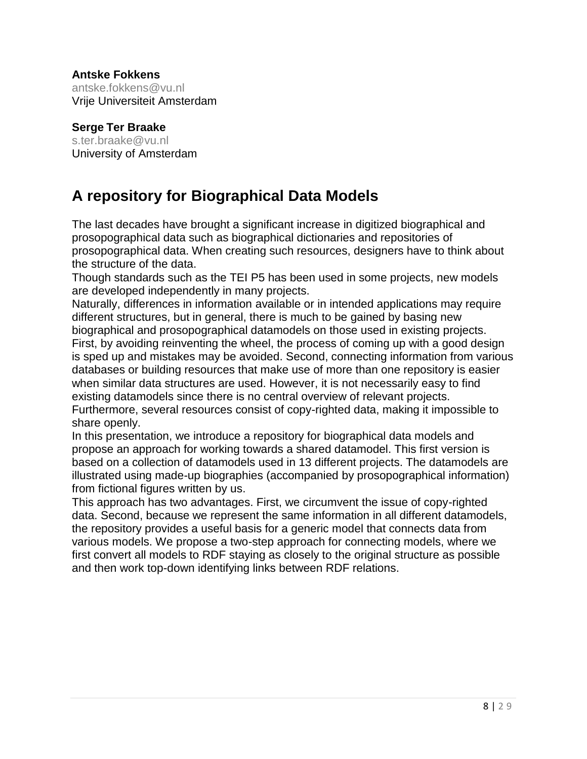#### **Antske Fokkens**

antske.fokkens@vu.nl Vrije Universiteit Amsterdam

#### **Serge Ter Braake**

[s.ter.braake@vu.nl](mailto:s.ter.braake@vu.nl) University of Amsterdam

### **A repository for Biographical Data Models**

The last decades have brought a significant increase in digitized biographical and prosopographical data such as biographical dictionaries and repositories of prosopographical data. When creating such resources, designers have to think about the structure of the data.

Though standards such as the TEI P5 has been used in some projects, new models are developed independently in many projects.

Naturally, differences in information available or in intended applications may require different structures, but in general, there is much to be gained by basing new biographical and prosopographical datamodels on those used in existing projects. First, by avoiding reinventing the wheel, the process of coming up with a good design is sped up and mistakes may be avoided. Second, connecting information from various databases or building resources that make use of more than one repository is easier when similar data structures are used. However, it is not necessarily easy to find existing datamodels since there is no central overview of relevant projects. Furthermore, several resources consist of copy-righted data, making it impossible to share openly.

In this presentation, we introduce a repository for biographical data models and propose an approach for working towards a shared datamodel. This first version is based on a collection of datamodels used in 13 different projects. The datamodels are illustrated using made-up biographies (accompanied by prosopographical information) from fictional figures written by us.

This approach has two advantages. First, we circumvent the issue of copy-righted data. Second, because we represent the same information in all different datamodels, the repository provides a useful basis for a generic model that connects data from various models. We propose a two-step approach for connecting models, where we first convert all models to RDF staying as closely to the original structure as possible and then work top-down identifying links between RDF relations.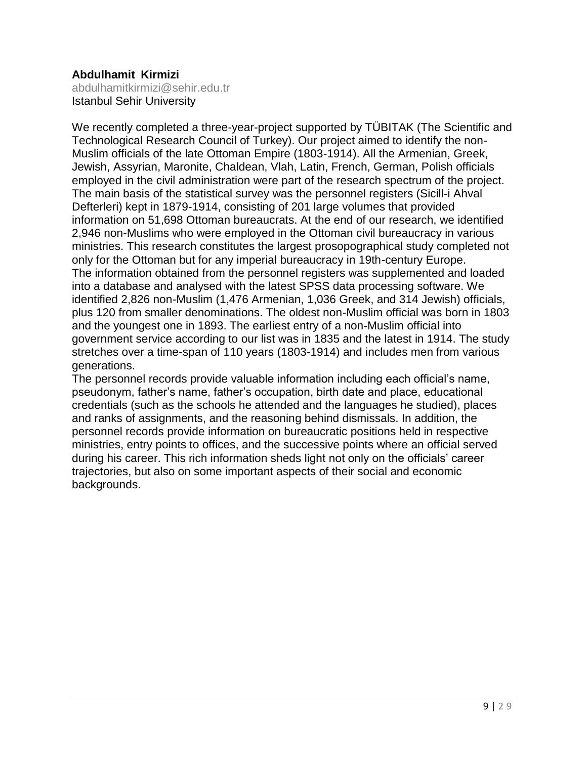#### **Abdulhamit Kirmizi**

[abdulhamitkirmizi@sehir.edu.tr](mailto:abdulhamitkirmizi@sehir.edu.tr) Istanbul Sehir University

We recently completed a three-year-project supported by TÜBITAK (The Scientific and Technological Research Council of Turkey). Our project aimed to identify the non-Muslim officials of the late Ottoman Empire (1803-1914). All the Armenian, Greek, Jewish, Assyrian, Maronite, Chaldean, Vlah, Latin, French, German, Polish officials employed in the civil administration were part of the research spectrum of the project. The main basis of the statistical survey was the personnel registers (Sicill-i Ahval Defterleri) kept in 1879-1914, consisting of 201 large volumes that provided information on 51,698 Ottoman bureaucrats. At the end of our research, we identified 2,946 non-Muslims who were employed in the Ottoman civil bureaucracy in various ministries. This research constitutes the largest prosopographical study completed not only for the Ottoman but for any imperial bureaucracy in 19th-century Europe. The information obtained from the personnel registers was supplemented and loaded into a database and analysed with the latest SPSS data processing software. We identified 2,826 non-Muslim (1,476 Armenian, 1,036 Greek, and 314 Jewish) officials, plus 120 from smaller denominations. The oldest non-Muslim official was born in 1803 and the youngest one in 1893. The earliest entry of a non-Muslim official into government service according to our list was in 1835 and the latest in 1914. The study stretches over a time-span of 110 years (1803-1914) and includes men from various generations.

The personnel records provide valuable information including each official's name, pseudonym, father's name, father's occupation, birth date and place, educational credentials (such as the schools he attended and the languages he studied), places and ranks of assignments, and the reasoning behind dismissals. In addition, the personnel records provide information on bureaucratic positions held in respective ministries, entry points to offices, and the successive points where an official served during his career. This rich information sheds light not only on the officials' career trajectories, but also on some important aspects of their social and economic backgrounds.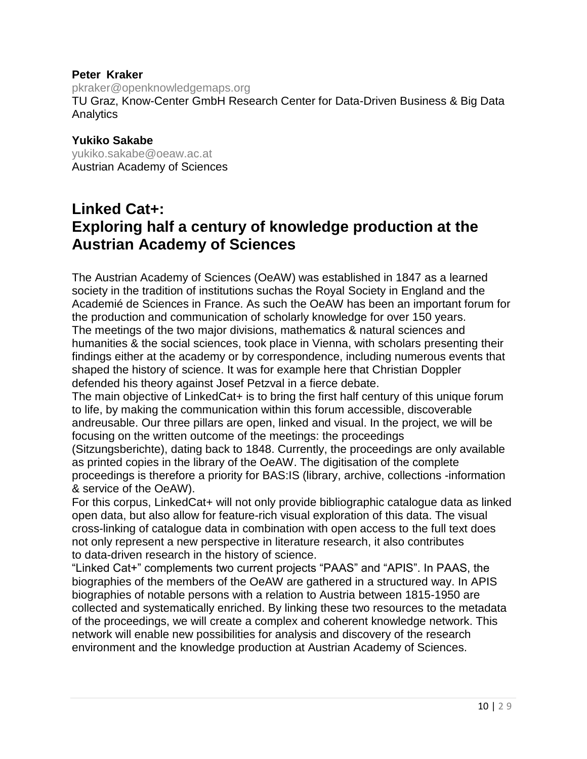#### **Peter Kraker**

[pkraker@openknowledgemaps.org](mailto:pkraker@openknowledgemaps.org) TU Graz, Know-Center GmbH Research Center for Data-Driven Business & Big Data **Analytics** 

#### **Yukiko Sakabe**

[yukiko.sakabe@oeaw.ac.at](mailto:yukiko.sakabe@oeaw.ac.at) Austrian Academy of Sciences

### **Linked Cat+: Exploring half a century of knowledge production at the Austrian Academy of Sciences**

The Austrian Academy of Sciences (OeAW) was established in 1847 as a learned society in the tradition of institutions suchas the Royal Society in England and the Academié de Sciences in France. As such the OeAW has been an important forum for the production and communication of scholarly knowledge for over 150 years. The meetings of the two major divisions, mathematics & natural sciences and humanities & the social sciences, took place in Vienna, with scholars presenting their findings either at the academy or by correspondence, including numerous events that shaped the history of science. It was for example here that Christian Doppler defended his theory against Josef Petzval in a fierce debate.

The main objective of LinkedCat+ is to bring the first half century of this unique forum to life, by making the communication within this forum accessible, discoverable andreusable. Our three pillars are open, linked and visual. In the project, we will be focusing on the written outcome of the meetings: the proceedings

(Sitzungsberichte), dating back to 1848. Currently, the proceedings are only available as printed copies in the library of the OeAW. The digitisation of the complete proceedings is therefore a priority for BAS:IS (library, archive, collections -information & service of the OeAW).

For this corpus, LinkedCat+ will not only provide bibliographic catalogue data as linked open data, but also allow for feature-rich visual exploration of this data. The visual cross-linking of catalogue data in combination with open access to the full text does not only represent a new perspective in literature research, it also contributes to data-driven research in the history of science.

"Linked Cat+" complements two current projects "PAAS" and "APIS". In PAAS, the biographies of the members of the OeAW are gathered in a structured way. In APIS biographies of notable persons with a relation to Austria between 1815-1950 are collected and systematically enriched. By linking these two resources to the metadata of the proceedings, we will create a complex and coherent knowledge network. This network will enable new possibilities for analysis and discovery of the research environment and the knowledge production at Austrian Academy of Sciences.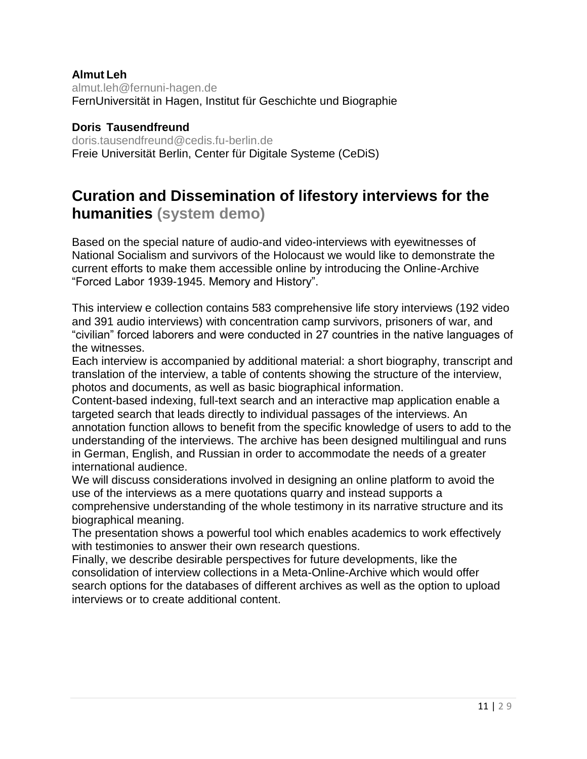#### **Almut Leh** [almut.leh@fernuni-hagen.de](mailto:almut.leh@fernuni-hagen.de) FernUniversität in Hagen, Institut für Geschichte und Biographie

**Doris Tausendfreund** doris.tausendfreund@cedis.fu-berlin.de Freie Universität Berlin, Center für Digitale Systeme (CeDiS)

### **Curation and Dissemination of lifestory interviews for the humanities (system demo)**

Based on the special nature of audio-and video-interviews with eyewitnesses of National Socialism and survivors of the Holocaust we would like to demonstrate the current efforts to make them accessible online by introducing the Online-Archive "Forced Labor 1939-1945. Memory and History".

This interview e collection contains 583 comprehensive life story interviews (192 video and 391 audio interviews) with concentration camp survivors, prisoners of war, and "civilian" forced laborers and were conducted in 27 countries in the native languages of the witnesses.

Each interview is accompanied by additional material: a short biography, transcript and translation of the interview, a table of contents showing the structure of the interview, photos and documents, as well as basic biographical information.

Content-based indexing, full-text search and an interactive map application enable a targeted search that leads directly to individual passages of the interviews. An annotation function allows to benefit from the specific knowledge of users to add to the understanding of the interviews. The archive has been designed multilingual and runs in German, English, and Russian in order to accommodate the needs of a greater international audience.

We will discuss considerations involved in designing an online platform to avoid the use of the interviews as a mere quotations quarry and instead supports a comprehensive understanding of the whole testimony in its narrative structure and its biographical meaning.

The presentation shows a powerful tool which enables academics to work effectively with testimonies to answer their own research questions.

Finally, we describe desirable perspectives for future developments, like the consolidation of interview collections in a Meta-Online-Archive which would offer search options for the databases of different archives as well as the option to upload interviews or to create additional content.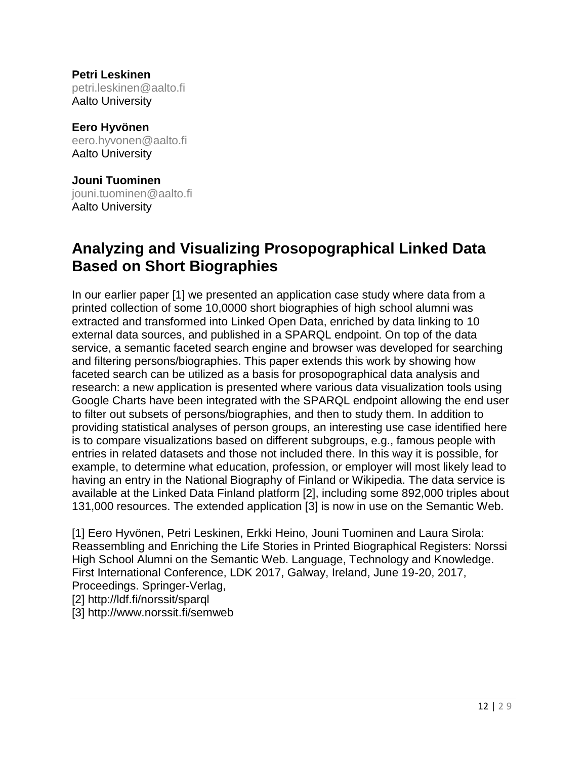**Petri Leskinen** [petri.leskinen@aalto.fi](mailto:petri.leskinen@aalto.fi) Aalto University

**Eero Hyvönen** eero.hyvonen@aalto.fi Aalto University

**Jouni Tuominen** [jouni.tuominen@aalto.fi](mailto:jouni.tuominen@aalto.fi) Aalto University

### **Analyzing and Visualizing Prosopographical Linked Data Based on Short Biographies**

In our earlier paper [1] we presented an application case study where data from a printed collection of some 10,0000 short biographies of high school alumni was extracted and transformed into Linked Open Data, enriched by data linking to 10 external data sources, and published in a SPARQL endpoint. On top of the data service, a semantic faceted search engine and browser was developed for searching and filtering persons/biographies. This paper extends this work by showing how faceted search can be utilized as a basis for prosopographical data analysis and research: a new application is presented where various data visualization tools using Google Charts have been integrated with the SPARQL endpoint allowing the end user to filter out subsets of persons/biographies, and then to study them. In addition to providing statistical analyses of person groups, an interesting use case identified here is to compare visualizations based on different subgroups, e.g., famous people with entries in related datasets and those not included there. In this way it is possible, for example, to determine what education, profession, or employer will most likely lead to having an entry in the National Biography of Finland or Wikipedia. The data service is available at the Linked Data Finland platform [2], including some 892,000 triples about 131,000 resources. The extended application [3] is now in use on the Semantic Web.

[1] Eero Hyvönen, Petri Leskinen, Erkki Heino, Jouni Tuominen and Laura Sirola: Reassembling and Enriching the Life Stories in Printed Biographical Registers: Norssi High School Alumni on the Semantic Web. Language, Technology and Knowledge. First International Conference, LDK 2017, Galway, Ireland, June 19-20, 2017, Proceedings. Springer-Verlag,

[2] http://ldf.fi/norssit/sparql

[3] http://www.norssit.fi/semweb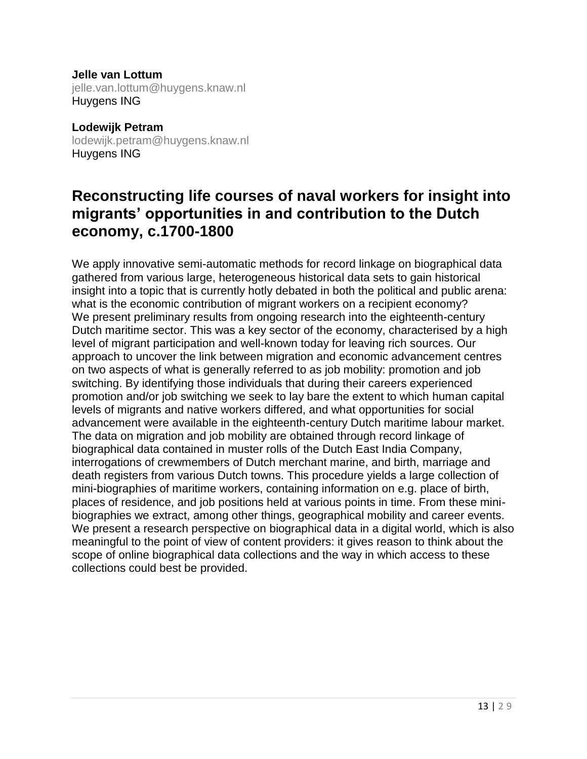**Jelle van Lottum** jelle.van.lottum@huygens.knaw.nl Huygens ING

**Lodewijk Petram** [lodewijk.petram@huygens.knaw.nl](mailto:lodewijk.petram@huygens.knaw.nl) Huygens ING

### **Reconstructing life courses of naval workers for insight into migrants' opportunities in and contribution to the Dutch economy, c.1700-1800**

We apply innovative semi-automatic methods for record linkage on biographical data gathered from various large, heterogeneous historical data sets to gain historical insight into a topic that is currently hotly debated in both the political and public arena: what is the economic contribution of migrant workers on a recipient economy? We present preliminary results from ongoing research into the eighteenth-century Dutch maritime sector. This was a key sector of the economy, characterised by a high level of migrant participation and well-known today for leaving rich sources. Our approach to uncover the link between migration and economic advancement centres on two aspects of what is generally referred to as job mobility: promotion and job switching. By identifying those individuals that during their careers experienced promotion and/or job switching we seek to lay bare the extent to which human capital levels of migrants and native workers differed, and what opportunities for social advancement were available in the eighteenth-century Dutch maritime labour market. The data on migration and job mobility are obtained through record linkage of biographical data contained in muster rolls of the Dutch East India Company, interrogations of crewmembers of Dutch merchant marine, and birth, marriage and death registers from various Dutch towns. This procedure yields a large collection of mini-biographies of maritime workers, containing information on e.g. place of birth, places of residence, and job positions held at various points in time. From these minibiographies we extract, among other things, geographical mobility and career events. We present a research perspective on biographical data in a digital world, which is also meaningful to the point of view of content providers: it gives reason to think about the scope of online biographical data collections and the way in which access to these collections could best be provided.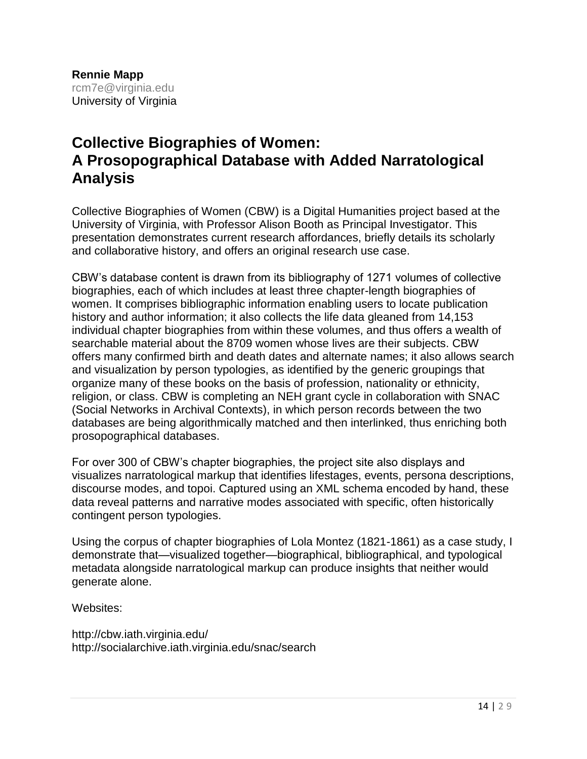### **Collective Biographies of Women: A Prosopographical Database with Added Narratological Analysis**

Collective Biographies of Women (CBW) is a Digital Humanities project based at the University of Virginia, with Professor Alison Booth as Principal Investigator. This presentation demonstrates current research affordances, briefly details its scholarly and collaborative history, and offers an original research use case.

CBW's database content is drawn from its bibliography of 1271 volumes of collective biographies, each of which includes at least three chapter-length biographies of women. It comprises bibliographic information enabling users to locate publication history and author information; it also collects the life data gleaned from 14,153 individual chapter biographies from within these volumes, and thus offers a wealth of searchable material about the 8709 women whose lives are their subjects. CBW offers many confirmed birth and death dates and alternate names; it also allows search and visualization by person typologies, as identified by the generic groupings that organize many of these books on the basis of profession, nationality or ethnicity, religion, or class. CBW is completing an NEH grant cycle in collaboration with SNAC (Social Networks in Archival Contexts), in which person records between the two databases are being algorithmically matched and then interlinked, thus enriching both prosopographical databases.

For over 300 of CBW's chapter biographies, the project site also displays and visualizes narratological markup that identifies lifestages, events, persona descriptions, discourse modes, and topoi. Captured using an XML schema encoded by hand, these data reveal patterns and narrative modes associated with specific, often historically contingent person typologies.

Using the corpus of chapter biographies of Lola Montez (1821-1861) as a case study, I demonstrate that—visualized together—biographical, bibliographical, and typological metadata alongside narratological markup can produce insights that neither would generate alone.

Websites:

http://cbw.iath.virginia.edu/ http://socialarchive.iath.virginia.edu/snac/search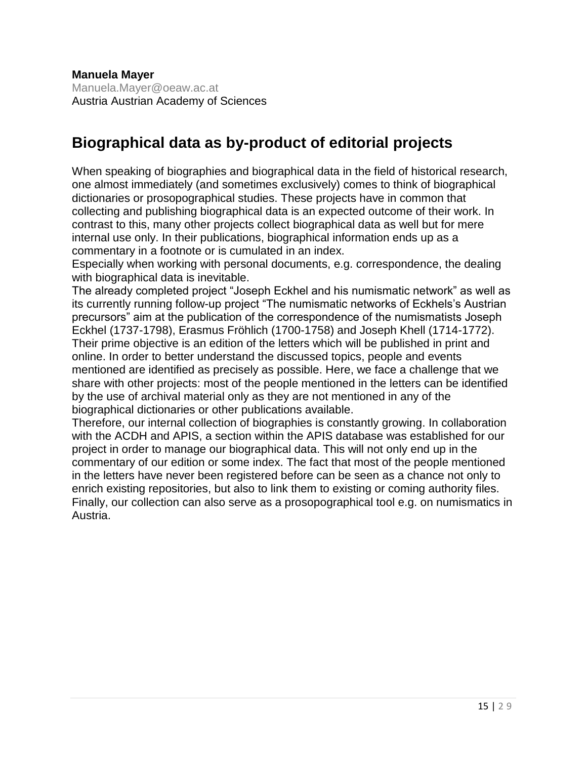**Manuela Mayer** Manuela.Mayer@oeaw.ac.at Austria Austrian Academy of Sciences

### **Biographical data as by-product of editorial projects**

When speaking of biographies and biographical data in the field of historical research, one almost immediately (and sometimes exclusively) comes to think of biographical dictionaries or prosopographical studies. These projects have in common that collecting and publishing biographical data is an expected outcome of their work. In contrast to this, many other projects collect biographical data as well but for mere internal use only. In their publications, biographical information ends up as a commentary in a footnote or is cumulated in an index.

Especially when working with personal documents, e.g. correspondence, the dealing with biographical data is inevitable.

The already completed project "Joseph Eckhel and his numismatic network" as well as its currently running follow-up project "The numismatic networks of Eckhels's Austrian precursors" aim at the publication of the correspondence of the numismatists Joseph Eckhel (1737-1798), Erasmus Fröhlich (1700-1758) and Joseph Khell (1714-1772). Their prime objective is an edition of the letters which will be published in print and online. In order to better understand the discussed topics, people and events mentioned are identified as precisely as possible. Here, we face a challenge that we share with other projects: most of the people mentioned in the letters can be identified by the use of archival material only as they are not mentioned in any of the biographical dictionaries or other publications available.

Therefore, our internal collection of biographies is constantly growing. In collaboration with the ACDH and APIS, a section within the APIS database was established for our project in order to manage our biographical data. This will not only end up in the commentary of our edition or some index. The fact that most of the people mentioned in the letters have never been registered before can be seen as a chance not only to enrich existing repositories, but also to link them to existing or coming authority files. Finally, our collection can also serve as a prosopographical tool e.g. on numismatics in Austria.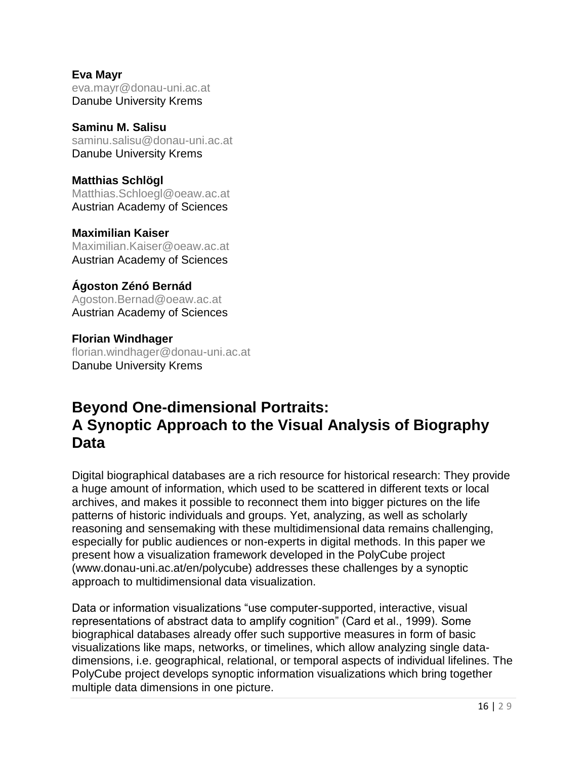**Eva Mayr** eva.mayr@donau-uni.ac.at Danube University Krems

**Saminu M. Salisu** [saminu.salisu@donau-uni.ac.at](mailto:saminu.salisu@donau-uni.ac.at) Danube University Krems

**Matthias Schlögl** Matthias.Schloegl@oeaw.ac.at Austrian Academy of Sciences

**Maximilian Kaiser** Maximilian.Kaiser@oeaw.ac.at Austrian Academy of Sciences

**Ágoston Zénó Bernád** Agoston.Bernad@oeaw.ac.at Austrian Academy of Sciences

**Florian Windhager** florian.windhager@donau-uni.ac.at Danube University Krems

### **Beyond One-dimensional Portraits: A Synoptic Approach to the Visual Analysis of Biography Data**

Digital biographical databases are a rich resource for historical research: They provide a huge amount of information, which used to be scattered in different texts or local archives, and makes it possible to reconnect them into bigger pictures on the life patterns of historic individuals and groups. Yet, analyzing, as well as scholarly reasoning and sensemaking with these multidimensional data remains challenging, especially for public audiences or non-experts in digital methods. In this paper we present how a visualization framework developed in the PolyCube project (www.donau-uni.ac.at/en/polycube) addresses these challenges by a synoptic approach to multidimensional data visualization.

Data or information visualizations "use computer-supported, interactive, visual representations of abstract data to amplify cognition" (Card et al., 1999). Some biographical databases already offer such supportive measures in form of basic visualizations like maps, networks, or timelines, which allow analyzing single datadimensions, i.e. geographical, relational, or temporal aspects of individual lifelines. The PolyCube project develops synoptic information visualizations which bring together multiple data dimensions in one picture.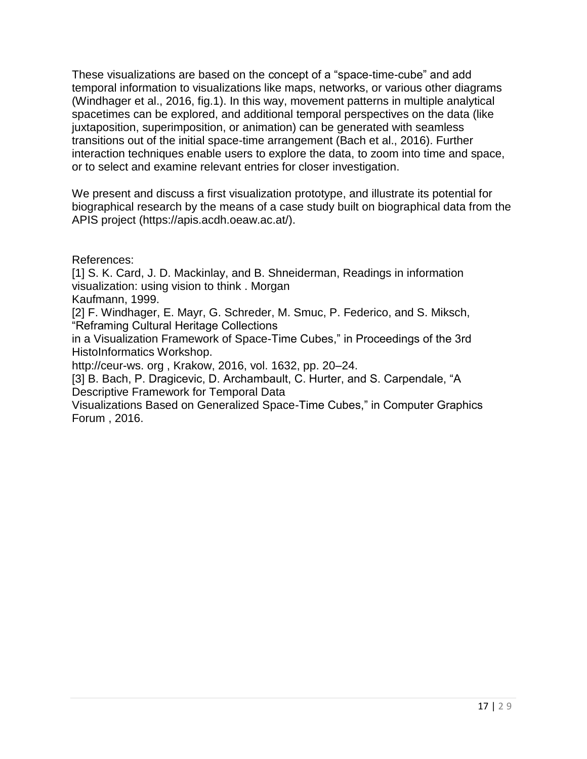These visualizations are based on the concept of a "space-time-cube" and add temporal information to visualizations like maps, networks, or various other diagrams (Windhager et al., 2016, fig.1). In this way, movement patterns in multiple analytical spacetimes can be explored, and additional temporal perspectives on the data (like juxtaposition, superimposition, or animation) can be generated with seamless transitions out of the initial space-time arrangement (Bach et al., 2016). Further interaction techniques enable users to explore the data, to zoom into time and space, or to select and examine relevant entries for closer investigation.

We present and discuss a first visualization prototype, and illustrate its potential for biographical research by the means of a case study built on biographical data from the APIS project (https://apis.acdh.oeaw.ac.at/).

References:

[1] S. K. Card, J. D. Mackinlay, and B. Shneiderman, Readings in information visualization: using vision to think . Morgan Kaufmann, 1999.

[2] F. Windhager, E. Mayr, G. Schreder, M. Smuc, P. Federico, and S. Miksch, "Reframing Cultural Heritage Collections

in a Visualization Framework of Space-Time Cubes," in Proceedings of the 3rd HistoInformatics Workshop.

http://ceur-ws. org , Krakow, 2016, vol. 1632, pp. 20–24.

[3] B. Bach, P. Dragicevic, D. Archambault, C. Hurter, and S. Carpendale, "A Descriptive Framework for Temporal Data

Visualizations Based on Generalized Space-Time Cubes," in Computer Graphics Forum , 2016.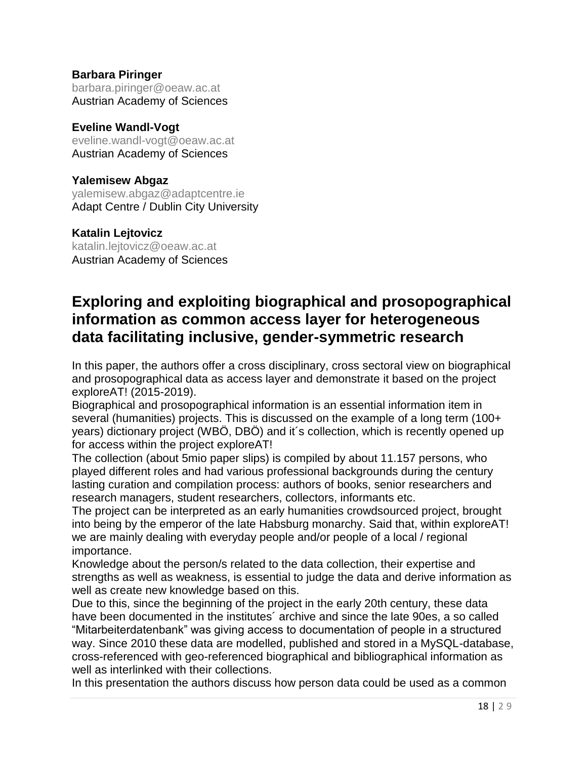#### **Barbara Piringer**

[barbara.piringer@oeaw.ac.at](mailto:barbara.piringer@oeaw.ac.at) Austrian Academy of Sciences

#### **Eveline Wandl-Vogt**

eveline.wandl-vogt@oeaw.ac.at Austrian Academy of Sciences

#### **Yalemisew Abgaz**

[yalemisew.abgaz@adaptcentre.ie](mailto:yalemisew.abgaz@adaptcentre.ie) Adapt Centre / Dublin City University

#### **Katalin Lejtovicz**

[katalin.lejtovicz@oeaw.ac.at](mailto:katalin.lejtovicz@oeaw.ac.at) Austrian Academy of Sciences

### **Exploring and exploiting biographical and prosopographical information as common access layer for heterogeneous data facilitating inclusive, gender-symmetric research**

In this paper, the authors offer a cross disciplinary, cross sectoral view on biographical and prosopographical data as access layer and demonstrate it based on the project exploreAT! (2015-2019).

Biographical and prosopographical information is an essential information item in several (humanities) projects. This is discussed on the example of a long term (100+ years) dictionary project (WBÖ, DBÖ) and it´s collection, which is recently opened up for access within the project exploreAT!

The collection (about 5mio paper slips) is compiled by about 11.157 persons, who played different roles and had various professional backgrounds during the century lasting curation and compilation process: authors of books, senior researchers and research managers, student researchers, collectors, informants etc.

The project can be interpreted as an early humanities crowdsourced project, brought into being by the emperor of the late Habsburg monarchy. Said that, within exploreAT! we are mainly dealing with everyday people and/or people of a local / regional importance.

Knowledge about the person/s related to the data collection, their expertise and strengths as well as weakness, is essential to judge the data and derive information as well as create new knowledge based on this.

Due to this, since the beginning of the project in the early 20th century, these data have been documented in the institutes´ archive and since the late 90es, a so called "Mitarbeiterdatenbank" was giving access to documentation of people in a structured way. Since 2010 these data are modelled, published and stored in a MySQL-database, cross-referenced with geo-referenced biographical and bibliographical information as well as interlinked with their collections.

In this presentation the authors discuss how person data could be used as a common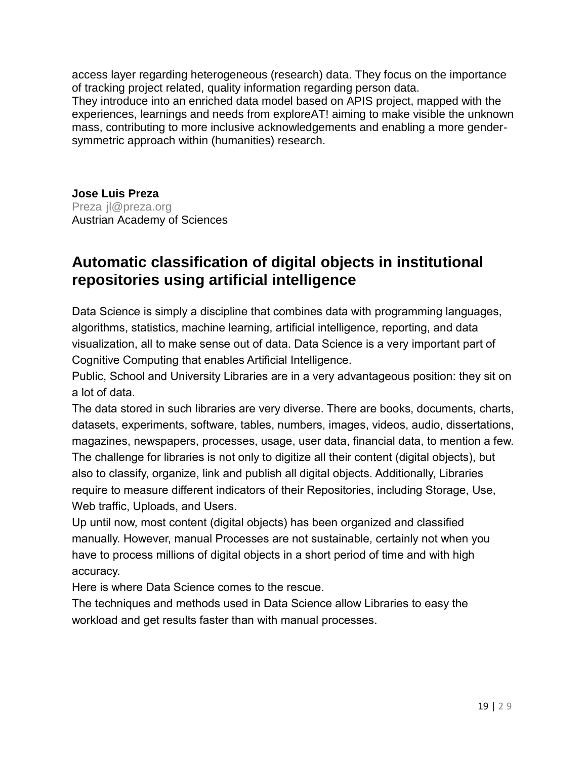access layer regarding heterogeneous (research) data. They focus on the importance of tracking project related, quality information regarding person data.

They introduce into an enriched data model based on APIS project, mapped with the experiences, learnings and needs from exploreAT! aiming to make visible the unknown mass, contributing to more inclusive acknowledgements and enabling a more gendersymmetric approach within (humanities) research.

**Jose Luis Preza** Preza jl@preza.org Austrian Academy of Sciences

### **Automatic classification of digital objects in institutional repositories using artificial intelligence**

Data Science is simply a discipline that combines data with programming languages, algorithms, statistics, machine learning, artificial intelligence, reporting, and data visualization, all to make sense out of data. Data Science is a very important part of Cognitive Computing that enables Artificial Intelligence.

Public, School and University Libraries are in a very advantageous position: they sit on a lot of data.

The data stored in such libraries are very diverse. There are books, documents, charts, datasets, experiments, software, tables, numbers, images, videos, audio, dissertations, magazines, newspapers, processes, usage, user data, financial data, to mention a few. The challenge for libraries is not only to digitize all their content (digital objects), but also to classify, organize, link and publish all digital objects. Additionally, Libraries require to measure different indicators of their Repositories, including Storage, Use, Web traffic, Uploads, and Users.

Up until now, most content (digital objects) has been organized and classified manually. However, manual Processes are not sustainable, certainly not when you have to process millions of digital objects in a short period of time and with high accuracy.

Here is where Data Science comes to the rescue.

The techniques and methods used in Data Science allow Libraries to easy the workload and get results faster than with manual processes.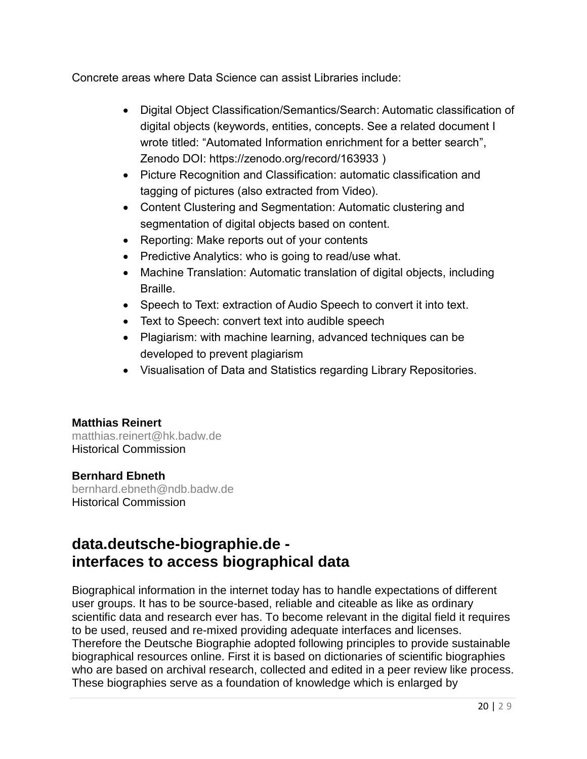Concrete areas where Data Science can assist Libraries include:

- Digital Object Classification/Semantics/Search: Automatic classification of digital objects (keywords, entities, concepts. See a related document I wrote titled: "Automated Information enrichment for a better search", Zenodo DOI: https://zenodo.org/record/163933 )
- Picture Recognition and Classification: automatic classification and tagging of pictures (also extracted from Video).
- Content Clustering and Segmentation: Automatic clustering and segmentation of digital objects based on content.
- Reporting: Make reports out of your contents
- Predictive Analytics: who is going to read/use what.
- Machine Translation: Automatic translation of digital objects, including **Braille**
- Speech to Text: extraction of Audio Speech to convert it into text.
- Text to Speech: convert text into audible speech
- Plagiarism: with machine learning, advanced techniques can be developed to prevent plagiarism
- Visualisation of Data and Statistics regarding Library Repositories.

#### **Matthias Reinert**

matthias.reinert@hk.badw.de Historical Commission

#### **Bernhard Ebneth**

bernhard.ebneth@ndb.badw.de Historical Commission

### **data.deutsche-biographie.de interfaces to access biographical data**

Biographical information in the internet today has to handle expectations of different user groups. It has to be source-based, reliable and citeable as like as ordinary scientific data and research ever has. To become relevant in the digital field it requires to be used, reused and re-mixed providing adequate interfaces and licenses. Therefore the Deutsche Biographie adopted following principles to provide sustainable biographical resources online. First it is based on dictionaries of scientific biographies who are based on archival research, collected and edited in a peer review like process. These biographies serve as a foundation of knowledge which is enlarged by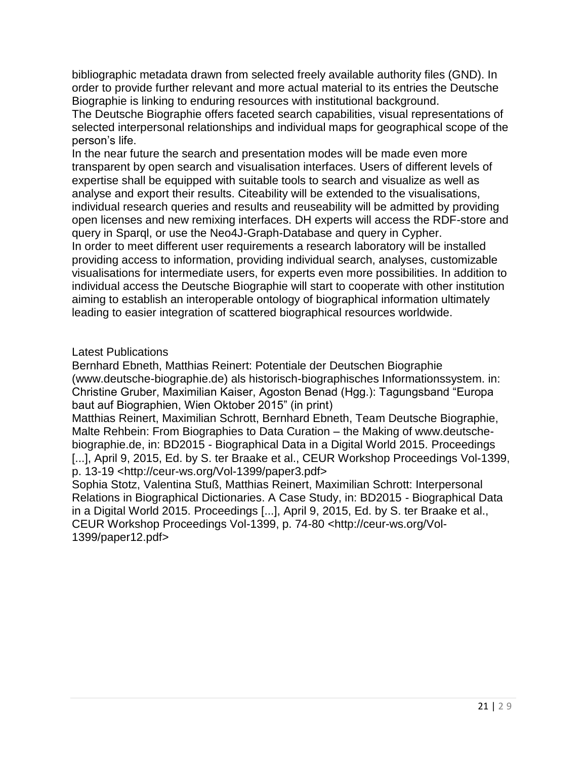bibliographic metadata drawn from selected freely available authority files (GND). In order to provide further relevant and more actual material to its entries the Deutsche Biographie is linking to enduring resources with institutional background.

The Deutsche Biographie offers faceted search capabilities, visual representations of selected interpersonal relationships and individual maps for geographical scope of the person's life.

In the near future the search and presentation modes will be made even more transparent by open search and visualisation interfaces. Users of different levels of expertise shall be equipped with suitable tools to search and visualize as well as analyse and export their results. Citeability will be extended to the visualisations, individual research queries and results and reuseability will be admitted by providing open licenses and new remixing interfaces. DH experts will access the RDF-store and query in Sparql, or use the Neo4J-Graph-Database and query in Cypher. In order to meet different user requirements a research laboratory will be installed providing access to information, providing individual search, analyses, customizable visualisations for intermediate users, for experts even more possibilities. In addition to individual access the Deutsche Biographie will start to cooperate with other institution aiming to establish an interoperable ontology of biographical information ultimately leading to easier integration of scattered biographical resources worldwide.

Latest Publications

Bernhard Ebneth, Matthias Reinert: Potentiale der Deutschen Biographie (www.deutsche-biographie.de) als historisch-biographisches Informationssystem. in: Christine Gruber, Maximilian Kaiser, Agoston Benad (Hgg.): Tagungsband "Europa baut auf Biographien, Wien Oktober 2015" (in print)

Matthias Reinert, Maximilian Schrott, Bernhard Ebneth, Team Deutsche Biographie, Malte Rehbein: From Biographies to Data Curation – the Making of www.deutschebiographie.de, in: BD2015 - Biographical Data in a Digital World 2015. Proceedings [...], April 9, 2015, Ed. by S. ter Braake et al., CEUR Workshop Proceedings Vol-1399, p. 13-19 <http://ceur-ws.org/Vol-1399/paper3.pdf>

Sophia Stotz, Valentina Stuß, Matthias Reinert, Maximilian Schrott: Interpersonal Relations in Biographical Dictionaries. A Case Study, in: BD2015 - Biographical Data in a Digital World 2015. Proceedings [...], April 9, 2015, Ed. by S. ter Braake et al., CEUR Workshop Proceedings Vol-1399, p. 74-80 <http://ceur-ws.org/Vol-1399/paper12.pdf>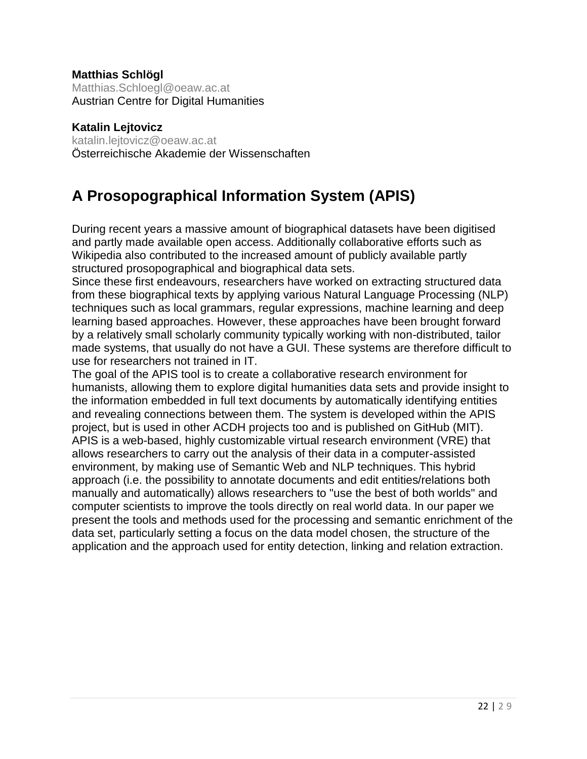#### **Matthias Schlögl**

Matthias.Schloegl@oeaw.ac.at Austrian Centre for Digital Humanities

**Katalin Lejtovicz** katalin.lejtovicz@oeaw.ac.at Österreichische Akademie der Wissenschaften

### **A Prosopographical Information System (APIS)**

During recent years a massive amount of biographical datasets have been digitised and partly made available open access. Additionally collaborative efforts such as Wikipedia also contributed to the increased amount of publicly available partly structured prosopographical and biographical data sets.

Since these first endeavours, researchers have worked on extracting structured data from these biographical texts by applying various Natural Language Processing (NLP) techniques such as local grammars, regular expressions, machine learning and deep learning based approaches. However, these approaches have been brought forward by a relatively small scholarly community typically working with non-distributed, tailor made systems, that usually do not have a GUI. These systems are therefore difficult to use for researchers not trained in IT.

The goal of the APIS tool is to create a collaborative research environment for humanists, allowing them to explore digital humanities data sets and provide insight to the information embedded in full text documents by automatically identifying entities and revealing connections between them. The system is developed within the APIS project, but is used in other ACDH projects too and is published on GitHub (MIT). APIS is a web-based, highly customizable virtual research environment (VRE) that allows researchers to carry out the analysis of their data in a computer-assisted environment, by making use of Semantic Web and NLP techniques. This hybrid approach (i.e. the possibility to annotate documents and edit entities/relations both manually and automatically) allows researchers to "use the best of both worlds" and computer scientists to improve the tools directly on real world data. In our paper we present the tools and methods used for the processing and semantic enrichment of the data set, particularly setting a focus on the data model chosen, the structure of the application and the approach used for entity detection, linking and relation extraction.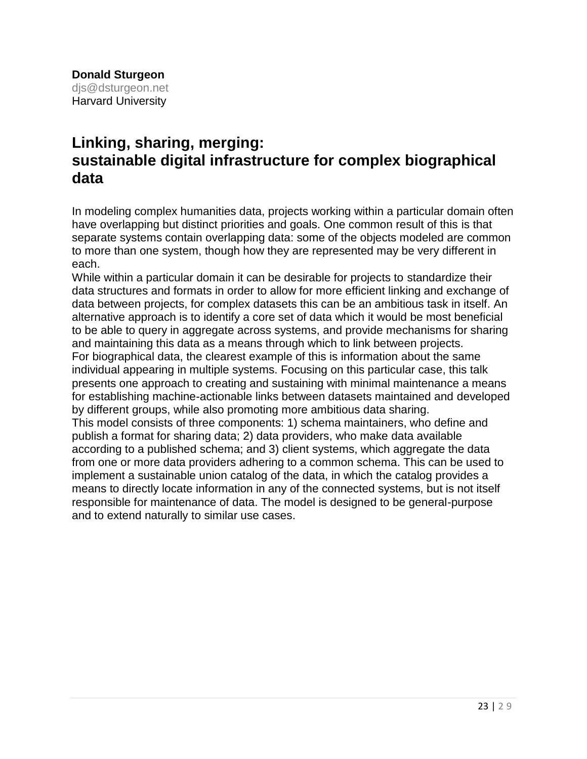### **Linking, sharing, merging: sustainable digital infrastructure for complex biographical data**

In modeling complex humanities data, projects working within a particular domain often have overlapping but distinct priorities and goals. One common result of this is that separate systems contain overlapping data: some of the objects modeled are common to more than one system, though how they are represented may be very different in each.

While within a particular domain it can be desirable for projects to standardize their data structures and formats in order to allow for more efficient linking and exchange of data between projects, for complex datasets this can be an ambitious task in itself. An alternative approach is to identify a core set of data which it would be most beneficial to be able to query in aggregate across systems, and provide mechanisms for sharing and maintaining this data as a means through which to link between projects. For biographical data, the clearest example of this is information about the same individual appearing in multiple systems. Focusing on this particular case, this talk presents one approach to creating and sustaining with minimal maintenance a means for establishing machine-actionable links between datasets maintained and developed by different groups, while also promoting more ambitious data sharing. This model consists of three components: 1) schema maintainers, who define and publish a format for sharing data; 2) data providers, who make data available according to a published schema; and 3) client systems, which aggregate the data from one or more data providers adhering to a common schema. This can be used to implement a sustainable union catalog of the data, in which the catalog provides a means to directly locate information in any of the connected systems, but is not itself responsible for maintenance of data. The model is designed to be general-purpose and to extend naturally to similar use cases.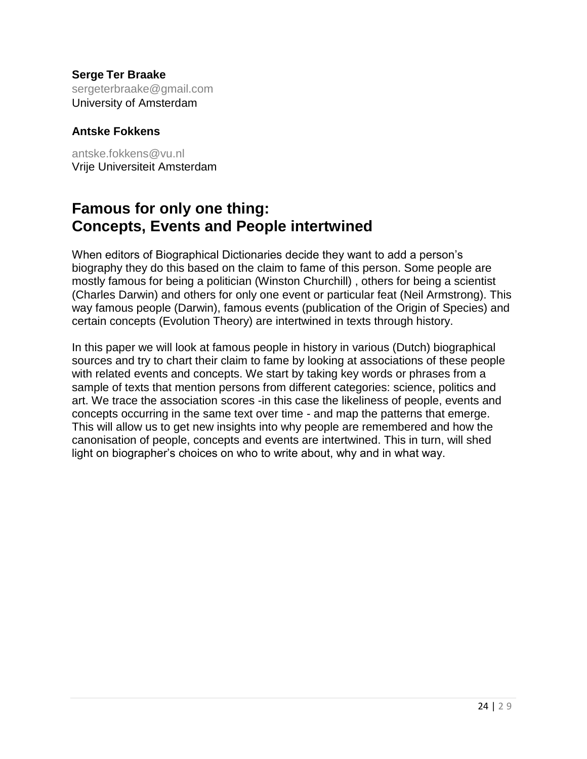**Serge Ter Braake** sergeterbraake@gmail.com University of Amsterdam

#### **Antske Fokkens**

[antske.fokkens@vu.nl](mailto:antske.fokkens@vu.nl) Vrije Universiteit Amsterdam

### **Famous for only one thing: Concepts, Events and People intertwined**

When editors of Biographical Dictionaries decide they want to add a person's biography they do this based on the claim to fame of this person. Some people are mostly famous for being a politician (Winston Churchill) , others for being a scientist (Charles Darwin) and others for only one event or particular feat (Neil Armstrong). This way famous people (Darwin), famous events (publication of the Origin of Species) and certain concepts (Evolution Theory) are intertwined in texts through history.

In this paper we will look at famous people in history in various (Dutch) biographical sources and try to chart their claim to fame by looking at associations of these people with related events and concepts. We start by taking key words or phrases from a sample of texts that mention persons from different categories: science, politics and art. We trace the association scores -in this case the likeliness of people, events and concepts occurring in the same text over time - and map the patterns that emerge. This will allow us to get new insights into why people are remembered and how the canonisation of people, concepts and events are intertwined. This in turn, will shed light on biographer's choices on who to write about, why and in what way.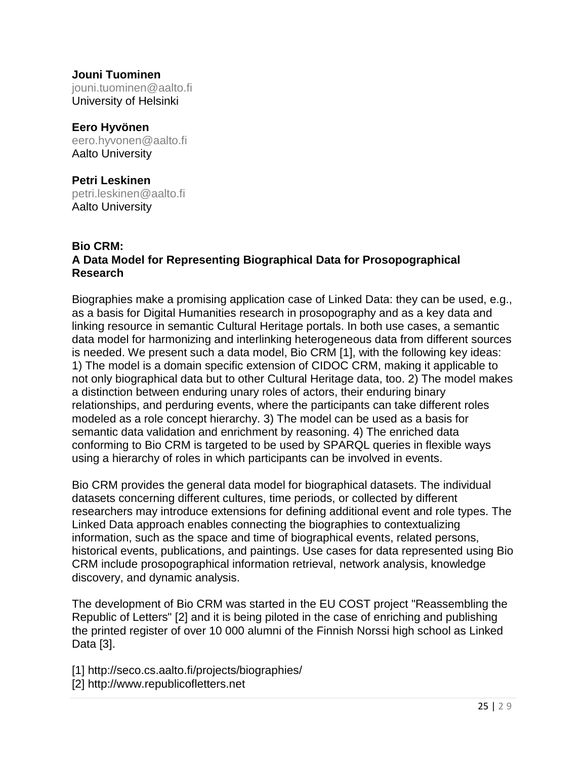#### **Jouni Tuominen** jouni.tuominen@aalto.fi University of Helsinki

**Eero Hyvönen** [eero.hyvonen@aalto.fi](mailto:eero.hyvonen@aalto.fi) Aalto University

**Petri Leskinen** [petri.leskinen@aalto.fi](mailto:petri.leskinen@aalto.fi) Aalto University

#### **Bio CRM: A Data Model for Representing Biographical Data for Prosopographical Research**

Biographies make a promising application case of Linked Data: they can be used, e.g., as a basis for Digital Humanities research in prosopography and as a key data and linking resource in semantic Cultural Heritage portals. In both use cases, a semantic data model for harmonizing and interlinking heterogeneous data from different sources is needed. We present such a data model, Bio CRM [1], with the following key ideas: 1) The model is a domain specific extension of CIDOC CRM, making it applicable to not only biographical data but to other Cultural Heritage data, too. 2) The model makes a distinction between enduring unary roles of actors, their enduring binary relationships, and perduring events, where the participants can take different roles modeled as a role concept hierarchy. 3) The model can be used as a basis for semantic data validation and enrichment by reasoning. 4) The enriched data conforming to Bio CRM is targeted to be used by SPARQL queries in flexible ways using a hierarchy of roles in which participants can be involved in events.

Bio CRM provides the general data model for biographical datasets. The individual datasets concerning different cultures, time periods, or collected by different researchers may introduce extensions for defining additional event and role types. The Linked Data approach enables connecting the biographies to contextualizing information, such as the space and time of biographical events, related persons, historical events, publications, and paintings. Use cases for data represented using Bio CRM include prosopographical information retrieval, network analysis, knowledge discovery, and dynamic analysis.

The development of Bio CRM was started in the EU COST project "Reassembling the Republic of Letters" [2] and it is being piloted in the case of enriching and publishing the printed register of over 10 000 alumni of the Finnish Norssi high school as Linked Data [3].

[1] http://seco.cs.aalto.fi/projects/biographies/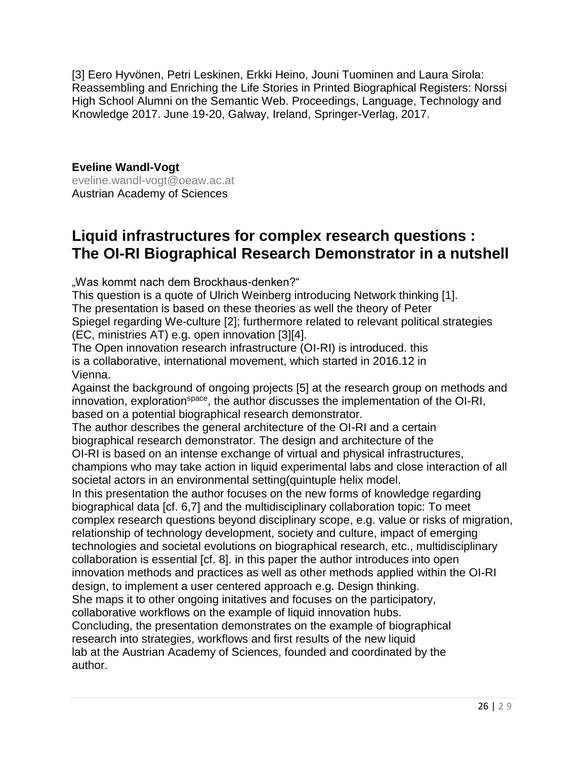[3] Eero Hyvönen, Petri Leskinen, Erkki Heino, Jouni Tuominen and Laura Sirola: Reassembling and Enriching the Life Stories in Printed Biographical Registers: Norssi High School Alumni on the Semantic Web. Proceedings, Language, Technology and Knowledge 2017. June 19-20, Galway, Ireland, Springer-Verlag, 2017.

**Eveline Wandl-Vogt** [eveline.wandl-vogt@oeaw.ac.at](mailto:eveline.wandl-vogt@oeaw.ac.at) Austrian Academy of Sciences

### **Liquid infrastructures for complex research questions : The OI-RI Biographical Research Demonstrator in a nutshell**

"Was kommt nach dem Brockhaus-denken?"

This question is a quote of Ulrich Weinberg introducing Network thinking [1]. The presentation is based on these theories as well the theory of Peter Spiegel regarding We-culture [2]; furthermore related to relevant political strategies (EC, ministries AT) e.g. open innovation [3][4].

The Open innovation research infrastructure (OI-RI) is introduced. this is a collaborative, international movement, which started in 2016.12 in Vienna.

Against the background of ongoing projects [5] at the research group on methods and innovation, exploration<sup>space</sup>, the author discusses the implementation of the OI-RI, based on a potential biographical research demonstrator.

The author describes the general architecture of the OI-RI and a certain biographical research demonstrator. The design and architecture of the

OI-RI is based on an intense exchange of virtual and physical infrastructures, champions who may take action in liquid experimental labs and close interaction of all societal actors in an environmental setting(quintuple helix model.

In this presentation the author focuses on the new forms of knowledge regarding biographical data [cf. 6,7] and the multidisciplinary collaboration topic: To meet complex research questions beyond disciplinary scope, e.g. value or risks of migration, relationship of technology development, society and culture, impact of emerging technologies and societal evolutions on biographical research, etc., multidisciplinary collaboration is essential [cf. 8]. in this paper the author introduces into open innovation methods and practices as well as other methods applied within the OI-RI design, to implement a user centered approach e.g. Design thinking. She maps it to other ongoing initatives and focuses on the participatory, collaborative workflows on the example of liquid innovation hubs. Concluding, the presentation demonstrates on the example of biographical research into strategies, workflows and first results of the new liquid lab at the Austrian Academy of Sciences, founded and coordinated by the author.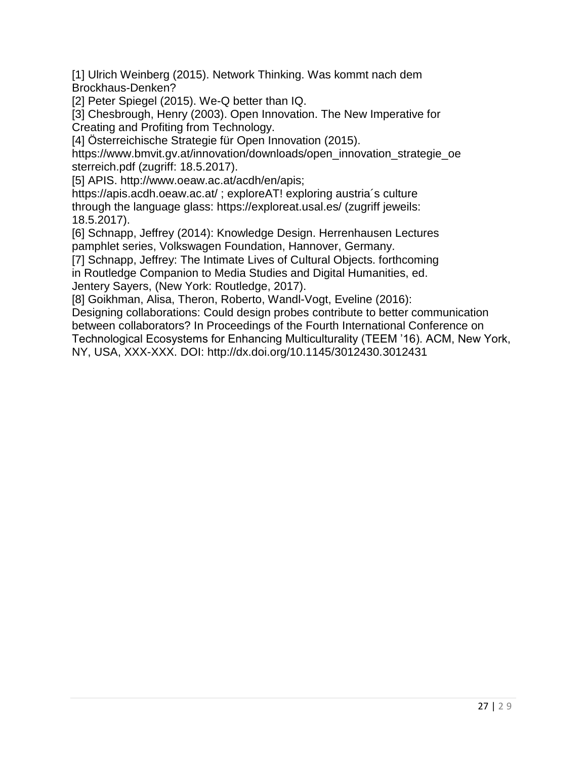[1] Ulrich Weinberg (2015). Network Thinking. Was kommt nach dem Brockhaus-Denken?

[2] Peter Spiegel (2015). We-Q better than IQ.

[3] Chesbrough, Henry (2003). Open Innovation. The New Imperative for Creating and Profiting from Technology.

[4] Österreichische Strategie für Open Innovation (2015).

https://www.bmvit.gv.at/innovation/downloads/open\_innovation\_strategie\_oe sterreich.pdf (zugriff: 18.5.2017).

[5] APIS. http://www.oeaw.ac.at/acdh/en/apis;

https://apis.acdh.oeaw.ac.at/ ; exploreAT! exploring austria´s culture

through the language glass: https://exploreat.usal.es/ (zugriff jeweils: 18.5.2017).

[6] Schnapp, Jeffrey (2014): Knowledge Design. Herrenhausen Lectures pamphlet series, Volkswagen Foundation, Hannover, Germany.

[7] Schnapp, Jeffrey: The Intimate Lives of Cultural Objects. forthcoming in Routledge Companion to Media Studies and Digital Humanities, ed. Jentery Sayers, (New York: Routledge, 2017).

[8] Goikhman, Alisa, Theron, Roberto, Wandl-Vogt, Eveline (2016):

Designing collaborations: Could design probes contribute to better communication between collaborators? In Proceedings of the Fourth International Conference on Technological Ecosystems for Enhancing Multiculturality (TEEM '16). ACM, New York, NY, USA, XXX-XXX. DOI: http://dx.doi.org/10.1145/3012430.3012431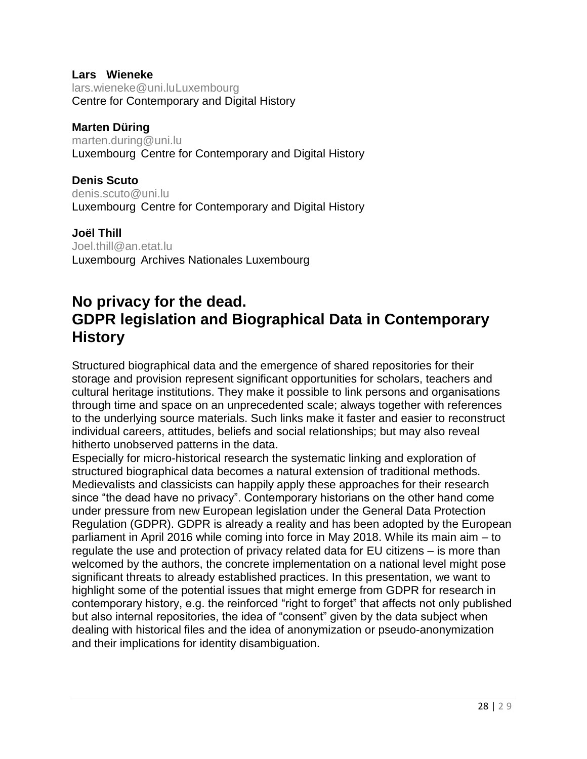#### **Lars Wieneke**

lars.wieneke@uni.luLuxembourg Centre for Contemporary and Digital History

#### **Marten Düring**

[marten.during@uni.lu](mailto:marten.during@uni.lu) Luxembourg Centre for Contemporary and Digital History

**Denis Scuto** [denis.scuto@uni.lu](mailto:denis.scuto@uni.lu) Luxembourg Centre for Contemporary and Digital History

#### **Joël Thill**

[Joel.thill@an.etat.lu](mailto:Joel.thill@an.etat.lu) Luxembourg Archives Nationales Luxembourg

### **No privacy for the dead. GDPR legislation and Biographical Data in Contemporary History**

Structured biographical data and the emergence of shared repositories for their storage and provision represent significant opportunities for scholars, teachers and cultural heritage institutions. They make it possible to link persons and organisations through time and space on an unprecedented scale; always together with references to the underlying source materials. Such links make it faster and easier to reconstruct individual careers, attitudes, beliefs and social relationships; but may also reveal hitherto unobserved patterns in the data.

Especially for micro-historical research the systematic linking and exploration of structured biographical data becomes a natural extension of traditional methods. Medievalists and classicists can happily apply these approaches for their research since "the dead have no privacy". Contemporary historians on the other hand come under pressure from new European legislation under the General Data Protection Regulation (GDPR). GDPR is already a reality and has been adopted by the European parliament in April 2016 while coming into force in May 2018. While its main aim – to regulate the use and protection of privacy related data for EU citizens – is more than welcomed by the authors, the concrete implementation on a national level might pose significant threats to already established practices. In this presentation, we want to highlight some of the potential issues that might emerge from GDPR for research in contemporary history, e.g. the reinforced "right to forget" that affects not only published but also internal repositories, the idea of "consent" given by the data subject when dealing with historical files and the idea of anonymization or pseudo-anonymization and their implications for identity disambiguation.